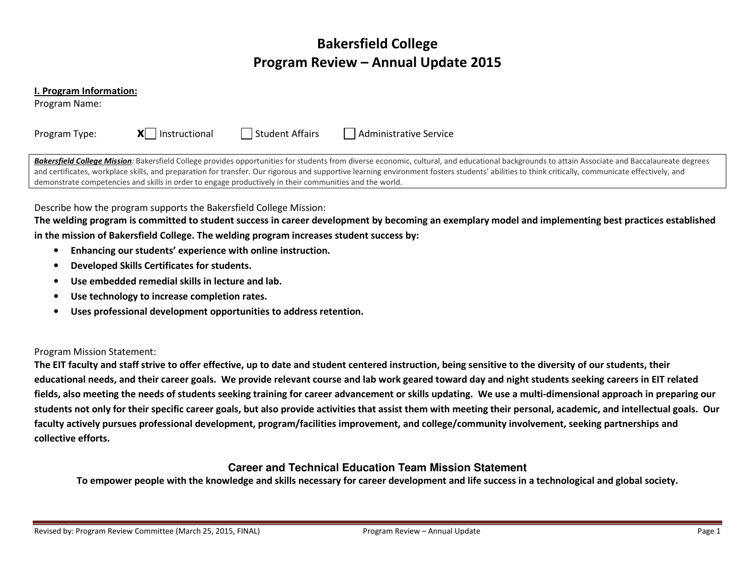# Bakersfield College Program Review – Annual Update 2015

#### I. Program Information:

Program Name:

| Program Type: | $\mathsf{X}$   Instructional | Student Affairs                                                                                         | Administrative Service                                                                                                                                                                                                                                                                                                                                                                              |
|---------------|------------------------------|---------------------------------------------------------------------------------------------------------|-----------------------------------------------------------------------------------------------------------------------------------------------------------------------------------------------------------------------------------------------------------------------------------------------------------------------------------------------------------------------------------------------------|
|               |                              | demonstrate competencies and skills in order to engage productively in their communities and the world. | Bakersfield College Mission: Bakersfield College provides opportunities for students from diverse economic, cultural, and educational backgrounds to attain Associate and Baccalaureate degrees<br>and certificates, workplace skills, and preparation for transfer. Our rigorous and supportive learning environment fosters students' abilities to think critically, communicate effectively, and |

The welding program is committed to student success in career development by becoming an exemplary model and implementing best practices established in the mission of Bakersfield College. The welding program increases student success by:

- $\bullet$  Enhancing our students' experience with online instruction.
	- $\bullet$ Developed Skills Certificates for students.
	- •Use embedded remedial skills in lecture and lab.
	- $\bullet$ Use technology to increase completion rates.
	- •Uses professional development opportunities to address retention.

### Program Mission Statement:

The EIT faculty and staff strive to offer effective, up to date and student centered instruction, being sensitive to the diversity of our students, theireducational needs, and their career goals. We provide relevant course and lab work geared toward day and night students seeking careers in EIT related fields, also meeting the needs of students seeking training for career advancement or skills updating. We use a multi-dimensional approach in preparing our students not only for their specific career goals, but also provide activities that assist them with meeting their personal, academic, and intellectual goals. Our faculty actively pursues professional development, program/facilities improvement, and college/community involvement, seeking partnerships and collective efforts.

# **Career and Technical Education Team Mission Statement**

To empower people with the knowledge and skills necessary for career development and life success in a technological and global society.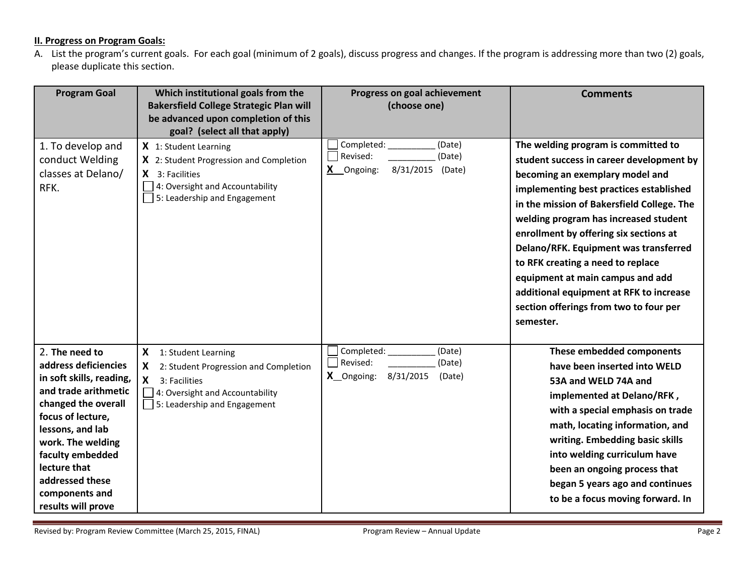## **II. Progress on Program Goals:**

A. List the program's current goals. For each goal (minimum of 2 goals), discuss progress and changes. If the program is addressing more than two (2) goals, please duplicate this section.

| <b>Program Goal</b>                                                                                                                                                                                                                                                            | Which institutional goals from the<br><b>Bakersfield College Strategic Plan will</b><br>be advanced upon completion of this<br>goal? (select all that apply) | Progress on goal achievement<br>(choose one)                                    | <b>Comments</b>                                                                                                                                                                                                                                                                                                                                                                                                                                                                                                    |
|--------------------------------------------------------------------------------------------------------------------------------------------------------------------------------------------------------------------------------------------------------------------------------|--------------------------------------------------------------------------------------------------------------------------------------------------------------|---------------------------------------------------------------------------------|--------------------------------------------------------------------------------------------------------------------------------------------------------------------------------------------------------------------------------------------------------------------------------------------------------------------------------------------------------------------------------------------------------------------------------------------------------------------------------------------------------------------|
| 1. To develop and<br>conduct Welding<br>classes at Delano/<br>RFK.                                                                                                                                                                                                             | X 1: Student Learning<br>X 2: Student Progression and Completion<br>$X$ 3: Facilities<br>4: Oversight and Accountability<br>5: Leadership and Engagement     | Completed:<br>(Date)<br>Revised:<br>(Date)<br>8/31/2015 (Date)<br>X Ongoing:    | The welding program is committed to<br>student success in career development by<br>becoming an exemplary model and<br>implementing best practices established<br>in the mission of Bakersfield College. The<br>welding program has increased student<br>enrollment by offering six sections at<br>Delano/RFK. Equipment was transferred<br>to RFK creating a need to replace<br>equipment at main campus and add<br>additional equipment at RFK to increase<br>section offerings from two to four per<br>semester. |
| 2. The need to<br>address deficiencies<br>in soft skills, reading,<br>and trade arithmetic<br>changed the overall<br>focus of lecture,<br>lessons, and lab<br>work. The welding<br>faculty embedded<br>lecture that<br>addressed these<br>components and<br>results will prove | X 1: Student Learning<br>X<br>2: Student Progression and Completion<br>X<br>3: Facilities<br>4: Oversight and Accountability<br>5: Leadership and Engagement | Completed:<br>(Date)<br>Revised:<br>(Date)<br>X_Ongoing:<br>8/31/2015<br>(Date) | These embedded components<br>have been inserted into WELD<br>53A and WELD 74A and<br>implemented at Delano/RFK,<br>with a special emphasis on trade<br>math, locating information, and<br>writing. Embedding basic skills<br>into welding curriculum have<br>been an ongoing process that<br>began 5 years ago and continues<br>to be a focus moving forward. In                                                                                                                                                   |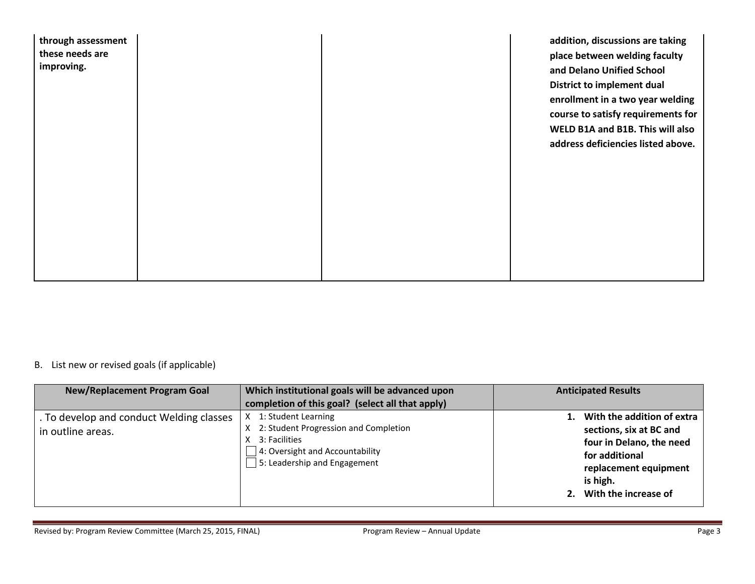| through assessment |  | addition, discussions are taking   |
|--------------------|--|------------------------------------|
| these needs are    |  | place between welding faculty      |
| improving.         |  | and Delano Unified School          |
|                    |  | District to implement dual         |
|                    |  | enrollment in a two year welding   |
|                    |  | course to satisfy requirements for |
|                    |  | WELD B1A and B1B. This will also   |
|                    |  | address deficiencies listed above. |
|                    |  |                                    |
|                    |  |                                    |
|                    |  |                                    |
|                    |  |                                    |
|                    |  |                                    |
|                    |  |                                    |
|                    |  |                                    |
|                    |  |                                    |
|                    |  |                                    |

### B. List new or revised goals (if applicable)

| <b>New/Replacement Program Goal</b>                           | Which institutional goals will be advanced upon<br>completion of this goal? (select all that apply)                                                              | <b>Anticipated Results</b>                                                                                                                                             |
|---------------------------------------------------------------|------------------------------------------------------------------------------------------------------------------------------------------------------------------|------------------------------------------------------------------------------------------------------------------------------------------------------------------------|
| . To develop and conduct Welding classes<br>in outline areas. | 1: Student Learning<br>X 2: Student Progression and Completion<br>3: Facilities<br>$\Box$ 4: Oversight and Accountability<br>$\Box$ 5: Leadership and Engagement | 1. With the addition of extra<br>sections, six at BC and<br>four in Delano, the need<br>for additional<br>replacement equipment<br>is high.<br>2. With the increase of |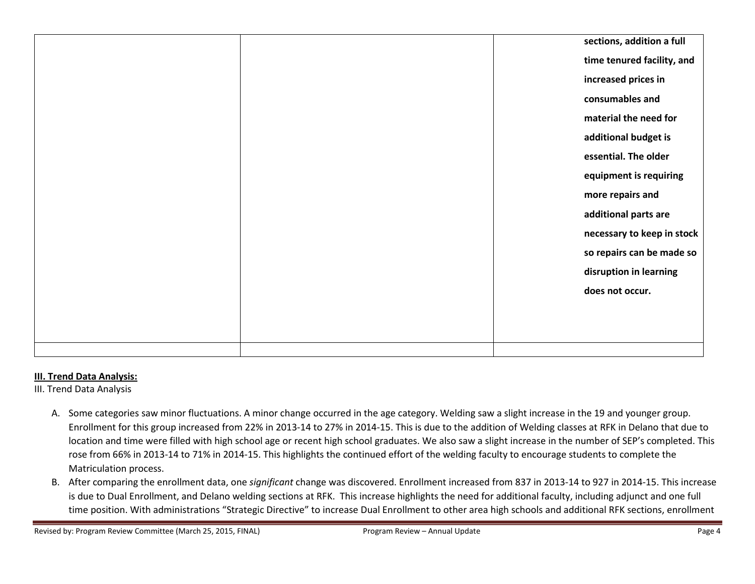|  | sections, addition a full  |
|--|----------------------------|
|  | time tenured facility, and |
|  | increased prices in        |
|  | consumables and            |
|  | material the need for      |
|  | additional budget is       |
|  | essential. The older       |
|  | equipment is requiring     |
|  | more repairs and           |
|  | additional parts are       |
|  | necessary to keep in stock |
|  | so repairs can be made so  |
|  | disruption in learning     |
|  | does not occur.            |
|  |                            |
|  |                            |
|  |                            |

# III. Trend Data Analysis:

III. Trend Data Analysis

- A. Some categories saw minor fluctuations. A minor change occurred in the age category. Welding saw a slight increase in the 19 and younger group. Enrollment for this group increased from 22% in 2013-14 to 27% in 2014-15. This is due to the addition of Welding classes at RFK in Delano that due to location and time were filled with high school age or recent high school graduates. We also saw a slight increase in the number of SEP's completed. This rose from 66% in 2013-14 to 71% in 2014-15. This highlights the continued effort of the welding faculty to encourage students to complete the Matriculation process.
- B. After comparing the enrollment data, one significant change was discovered. Enrollment increased from 837 in 2013-14 to 927 in 2014-15. This increase is due to Dual Enrollment, and Delano welding sections at RFK. This increase highlights the need for additional faculty, including adjunct and one full time position. With administrations "Strategic Directive" to increase Dual Enrollment to other area high schools and additional RFK sections, enrollment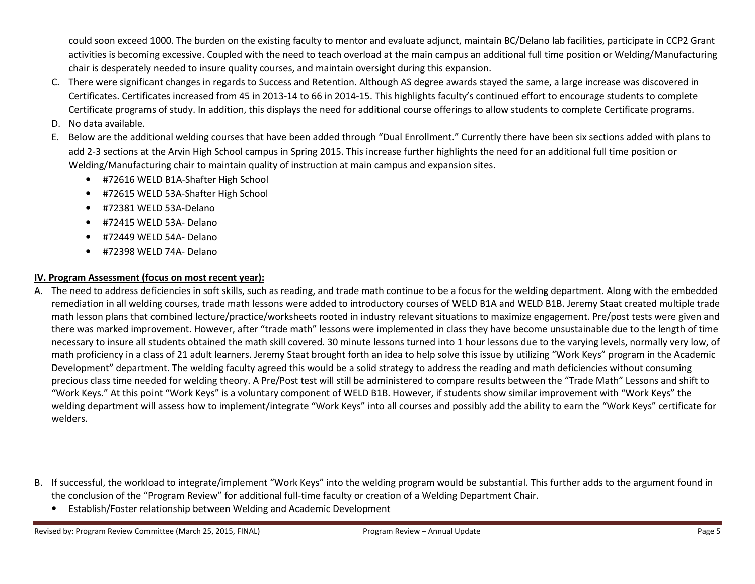could soon exceed 1000. The burden on the existing faculty to mentor and evaluate adjunct, maintain BC/Delano lab facilities, participate in CCP2 Grant activities is becoming excessive. Coupled with the need to teach overload at the main campus an additional full time position or Welding/Manufacturing chair is desperately needed to insure quality courses, and maintain oversight during this expansion.

- C. There were significant changes in regards to Success and Retention. Although AS degree awards stayed the same, a large increase was discovered in Certificates. Certificates increased from 45 in 2013-14 to 66 in 2014-15. This highlights faculty's continued effort to encourage students to complete Certificate programs of study. In addition, this displays the need for additional course offerings to allow students to complete Certificate programs.
- D. No data available.
- E. Below are the additional welding courses that have been added through "Dual Enrollment." Currently there have been six sections added with plans to add 2-3 sections at the Arvin High School campus in Spring 2015. This increase further highlights the need for an additional full time position or Welding/Manufacturing chair to maintain quality of instruction at main campus and expansion sites.
	- #72616 WELD B1A-Shafter High School
	- •#72615 WELD 53A-Shafter High School
	- •#72381 WELD 53A-Delano
	- •#72415 WELD 53A- Delano
	- •#72449 WELD 54A- Delano
	- •#72398 WELD 74A- Delano

## IV. Program Assessment (focus on most recent year):

- A. The need to address deficiencies in soft skills, such as reading, and trade math continue to be a focus for the welding department. Along with the embedded remediation in all welding courses, trade math lessons were added to introductory courses of WELD B1A and WELD B1B. Jeremy Staat created multiple trade math lesson plans that combined lecture/practice/worksheets rooted in industry relevant situations to maximize engagement. Pre/post tests were given and there was marked improvement. However, after "trade math" lessons were implemented in class they have become unsustainable due to the length of time necessary to insure all students obtained the math skill covered. 30 minute lessons turned into 1 hour lessons due to the varying levels, normally very low, of math proficiency in a class of 21 adult learners. Jeremy Staat brought forth an idea to help solve this issue by utilizing "Work Keys" program in the Academic Development" department. The welding faculty agreed this would be a solid strategy to address the reading and math deficiencies without consuming precious class time needed for welding theory. A Pre/Post test will still be administered to compare results between the "Trade Math" Lessons and shift to "Work Keys." At this point "Work Keys" is a voluntary component of WELD B1B. However, if students show similar improvement with "Work Keys" the welding department will assess how to implement/integrate "Work Keys" into all courses and possibly add the ability to earn the "Work Keys" certificate for welders.
- B. If successful, the workload to integrate/implement "Work Keys" into the welding program would be substantial. This further adds to the argument found in the conclusion of the "Program Review" for additional full-time faculty or creation of a Welding Department Chair.
	- Establish/Foster relationship between Welding and Academic Development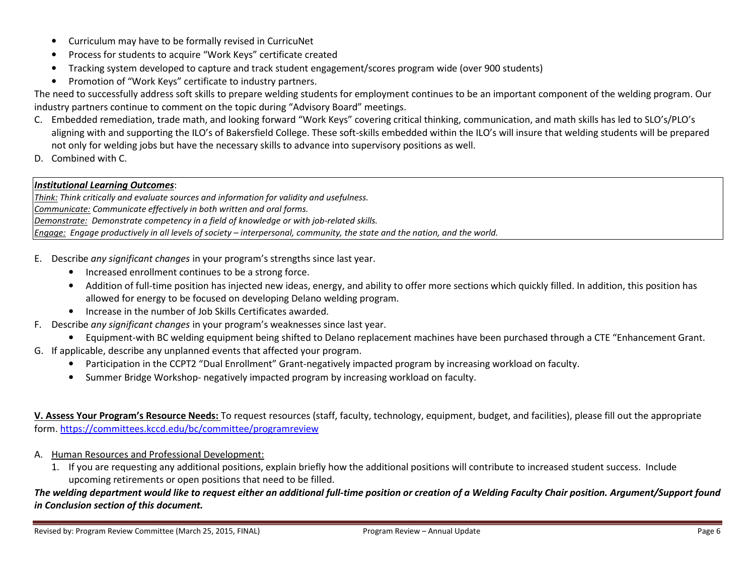- Curriculum may have to be formally revised in CurricuNet
- •Process for students to acquire "Work Keys" certificate created
- Tracking system developed to capture and track student engagement/scores program wide (over 900 students)
- Promotion of "Work Keys" certificate to industry partners.

The need to successfully address soft skills to prepare welding students for employment continues to be an important component of the welding program. Our industry partners continue to comment on the topic during "Advisory Board" meetings.

- C. Embedded remediation, trade math, and looking forward "Work Keys" covering critical thinking, communication, and math skills has led to SLO's/PLO's aligning with and supporting the ILO's of Bakersfield College. These soft-skills embedded within the ILO's will insure that welding students will be prepared not only for welding jobs but have the necessary skills to advance into supervisory positions as well.
- D. Combined with C.

### Institutional Learning Outcomes:

Think: Think critically and evaluate sources and information for validity and usefulness. Communicate: Communicate effectively in both written and oral forms. Demonstrate: Demonstrate competency in a field of knowledge or with job-related skills. Engage: Engage productively in all levels of society – interpersonal, community, the state and the nation, and the world.

- E. Describe any significant changes in your program's strengths since last year.
	- Increased enrollment continues to be a strong force.
	- Addition of full-time position has injected new ideas, energy, and ability to offer more sections which quickly filled. In addition, this position has allowed for energy to be focused on developing Delano welding program.
	- Increase in the number of Job Skills Certificates awarded.
- F. Describe any significant changes in your program's weaknesses since last year.
	- Equipment-with BC welding equipment being shifted to Delano replacement machines have been purchased through a CTE "Enhancement Grant.
- G. If applicable, describe any unplanned events that affected your program.
	- Participation in the CCPT2 "Dual Enrollment" Grant-negatively impacted program by increasing workload on faculty.
	- •Summer Bridge Workshop- negatively impacted program by increasing workload on faculty.

V. Assess Your Program's Resource Needs: To request resources (staff, faculty, technology, equipment, budget, and facilities), please fill out the appropriate form. https://committees.kccd.edu/bc/committee/programreview

- A. Human Resources and Professional Development:
	- 1. If you are requesting any additional positions, explain briefly how the additional positions will contribute to increased student success. Include upcoming retirements or open positions that need to be filled.

The welding department would like to request either an additional full-time position or creation of a Welding Faculty Chair position. Argument/Support found in Conclusion section of this document.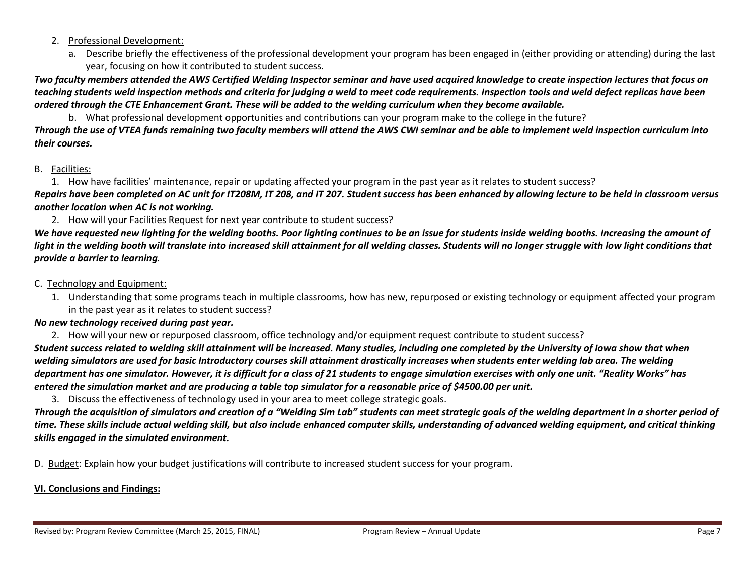- 2. Professional Development:
	- a. Describe briefly the effectiveness of the professional development your program has been engaged in (either providing or attending) during the last year, focusing on how it contributed to student success.

Two faculty members attended the AWS Certified Welding Inspector seminar and have used acquired knowledge to create inspection lectures that focus on teaching students weld inspection methods and criteria for judging a weld to meet code requirements. Inspection tools and weld defect replicas have been ordered through the CTE Enhancement Grant. These will be added to the welding curriculum when they become available.

b. What professional development opportunities and contributions can your program make to the college in the future?

Through the use of VTEA funds remaining two faculty members will attend the AWS CWI seminar and be able to implement weld inspection curriculum into their courses.

## B. <u>Facilities:</u>

1. How have facilities' maintenance, repair or updating affected your program in the past year as it relates to student success?

Repairs have been completed on AC unit for IT208M, IT 208, and IT 207. Student success has been enhanced by allowing lecture to be held in classroom versus another location when AC is not working.

2. How will your Facilities Request for next year contribute to student success?

We have requested new lighting for the welding booths. Poor lighting continues to be an issue for students inside welding booths. Increasing the amount of light in the welding booth will translate into increased skill attainment for all welding classes. Students will no longer struggle with low light conditions that provide a barrier to learning.

- C. Technology and Equipment:
	- 1. Understanding that some programs teach in multiple classrooms, how has new, repurposed or existing technology or equipment affected your program in the past year as it relates to student success?

# No new technology received during past year.

2. How will your new or repurposed classroom, office technology and/or equipment request contribute to student success?

Student success related to welding skill attainment will be increased. Many studies, including one completed by the University of Iowa show that when welding simulators are used for basic Introductory courses skill attainment drastically increases when students enter welding lab area. The welding department has one simulator. However, it is difficult for a class of 21 students to engage simulation exercises with only one unit. "Reality Works" has entered the simulation market and are producing a table top simulator for a reasonable price of \$4500.00 per unit.

3. Discuss the effectiveness of technology used in your area to meet college strategic goals.

Through the acquisition of simulators and creation of a "Welding Sim Lab" students can meet strategic goals of the welding department in a shorter period of time. These skills include actual welding skill, but also include enhanced computer skills, understanding of advanced welding equipment, and critical thinking skills engaged in the simulated environment.

D. Budget: Explain how your budget justifications will contribute to increased student success for your program.

# VI. Conclusions and Findings: